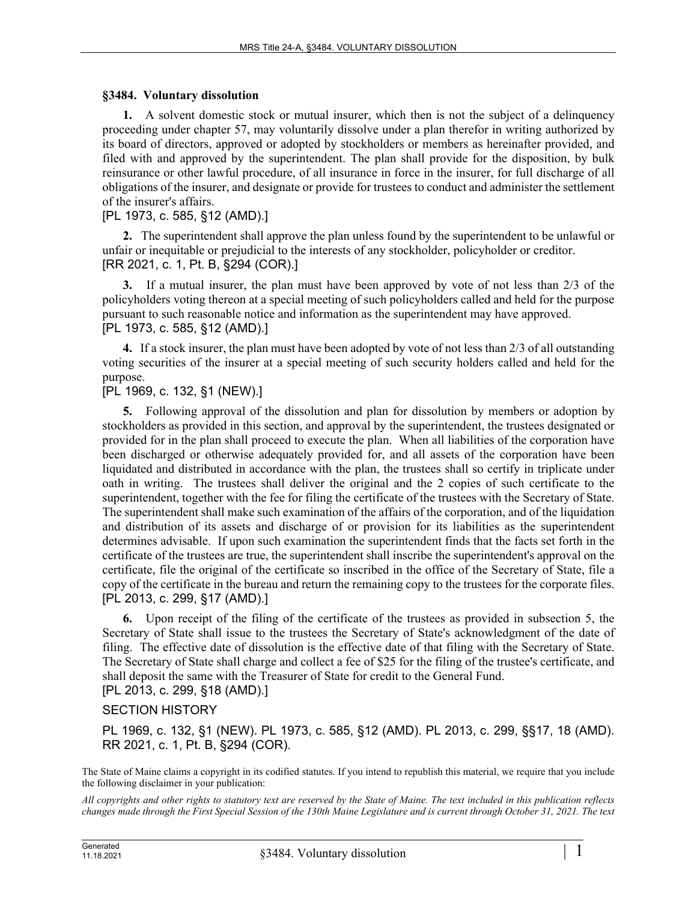## **§3484. Voluntary dissolution**

**1.** A solvent domestic stock or mutual insurer, which then is not the subject of a delinquency proceeding under chapter 57, may voluntarily dissolve under a plan therefor in writing authorized by its board of directors, approved or adopted by stockholders or members as hereinafter provided, and filed with and approved by the superintendent. The plan shall provide for the disposition, by bulk reinsurance or other lawful procedure, of all insurance in force in the insurer, for full discharge of all obligations of the insurer, and designate or provide for trustees to conduct and administer the settlement of the insurer's affairs.

## [PL 1973, c. 585, §12 (AMD).]

**2.** The superintendent shall approve the plan unless found by the superintendent to be unlawful or unfair or inequitable or prejudicial to the interests of any stockholder, policyholder or creditor. [RR 2021, c. 1, Pt. B, §294 (COR).]

**3.** If a mutual insurer, the plan must have been approved by vote of not less than 2/3 of the policyholders voting thereon at a special meeting of such policyholders called and held for the purpose pursuant to such reasonable notice and information as the superintendent may have approved. [PL 1973, c. 585, §12 (AMD).]

**4.** If a stock insurer, the plan must have been adopted by vote of not less than 2/3 of all outstanding voting securities of the insurer at a special meeting of such security holders called and held for the purpose.

## [PL 1969, c. 132, §1 (NEW).]

**5.** Following approval of the dissolution and plan for dissolution by members or adoption by stockholders as provided in this section, and approval by the superintendent, the trustees designated or provided for in the plan shall proceed to execute the plan. When all liabilities of the corporation have been discharged or otherwise adequately provided for, and all assets of the corporation have been liquidated and distributed in accordance with the plan, the trustees shall so certify in triplicate under oath in writing. The trustees shall deliver the original and the 2 copies of such certificate to the superintendent, together with the fee for filing the certificate of the trustees with the Secretary of State. The superintendent shall make such examination of the affairs of the corporation, and of the liquidation and distribution of its assets and discharge of or provision for its liabilities as the superintendent determines advisable. If upon such examination the superintendent finds that the facts set forth in the certificate of the trustees are true, the superintendent shall inscribe the superintendent's approval on the certificate, file the original of the certificate so inscribed in the office of the Secretary of State, file a copy of the certificate in the bureau and return the remaining copy to the trustees for the corporate files. [PL 2013, c. 299, §17 (AMD).]

**6.** Upon receipt of the filing of the certificate of the trustees as provided in subsection 5, the Secretary of State shall issue to the trustees the Secretary of State's acknowledgment of the date of filing. The effective date of dissolution is the effective date of that filing with the Secretary of State. The Secretary of State shall charge and collect a fee of \$25 for the filing of the trustee's certificate, and shall deposit the same with the Treasurer of State for credit to the General Fund. [PL 2013, c. 299, §18 (AMD).]

## SECTION HISTORY

PL 1969, c. 132, §1 (NEW). PL 1973, c. 585, §12 (AMD). PL 2013, c. 299, §§17, 18 (AMD). RR 2021, c. 1, Pt. B, §294 (COR).

The State of Maine claims a copyright in its codified statutes. If you intend to republish this material, we require that you include the following disclaimer in your publication:

*All copyrights and other rights to statutory text are reserved by the State of Maine. The text included in this publication reflects changes made through the First Special Session of the 130th Maine Legislature and is current through October 31, 2021. The text*